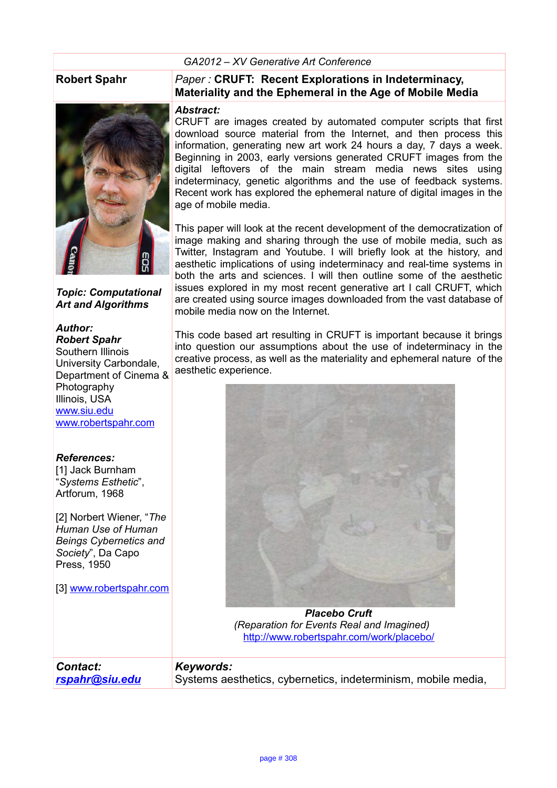## *GA2012 – XV Generative Art Conference*



*Topic: Computational Art and Algorithms*

## *Author:*

*Robert Spahr* Southern Illinois University Carbondale, Department of Cinema & Photography Illinois, USA [www.siu.edu](http://www.siu.edu/) [www.robertspahr.com](http://www.robertspahr.com/)

## *References:*

[1] Jack Burnham "*Systems Esthetic*", Artforum, 1968

[2] Norbert Wiener, "*The Human Use of Human Beings Cybernetics and Society*", Da Capo Press, 1950

[3] [www.robertspahr.com](http://www.robertspahr.com/)

*Contact:* 

*[rspahr@siu.edu](mailto:rspahr@siu.edu)*

## **Robert Spahr** *Paper :* **CRUFT: Recent Explorations in Indeterminacy, Materiality and the Ephemeral in the Age of Mobile Media**

### *Abstract:*

CRUFT are images created by automated computer scripts that first download source material from the Internet, and then process this information, generating new art work 24 hours a day, 7 days a week. Beginning in 2003, early versions generated CRUFT images from the digital leftovers of the main stream media news sites using indeterminacy, genetic algorithms and the use of feedback systems. Recent work has explored the ephemeral nature of digital images in the age of mobile media.

This paper will look at the recent development of the democratization of image making and sharing through the use of mobile media, such as Twitter, Instagram and Youtube. I will briefly look at the history, and aesthetic implications of using indeterminacy and real-time systems in both the arts and sciences. I will then outline some of the aesthetic issues explored in my most recent generative art I call CRUFT, which are created using source images downloaded from the vast database of mobile media now on the Internet.

This code based art resulting in CRUFT is important because it brings into question our assumptions about the use of indeterminacy in the creative process, as well as the materiality and ephemeral nature of the aesthetic experience.



*Placebo Cruft (Reparation for Events Real and Imagined)*  <http://www.robertspahr.com/work/placebo/>

## *Keywords:*

Systems aesthetics, cybernetics, indeterminism, mobile media,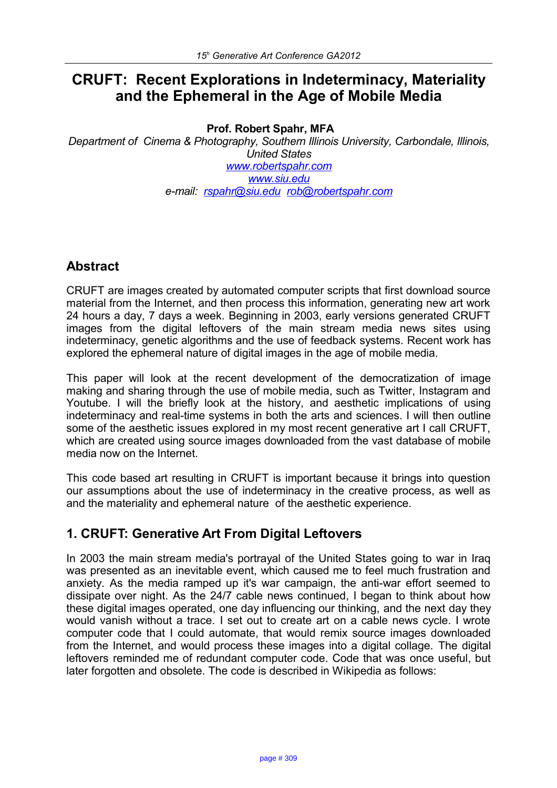# **CRUFT: Recent Explorations in Indeterminacy, Materiality and the Ephemeral in the Age of Mobile Media**

## **Prof. Robert Spahr, MFA**

*Department of Cinema & Photography, Southern Illinois University, Carbondale, Illinois, United States [www.robertspahr.com](http://www.robertspahr.com/) [www.siu.edu](http://www.siu.edu/) e-mail: [rspahr@siu.edu](mailto:rspahr@siu.edu) [rob@robertspahr.com](mailto:rob@robertspahr.com)*

# **Abstract**

CRUFT are images created by automated computer scripts that first download source material from the Internet, and then process this information, generating new art work 24 hours a day, 7 days a week. Beginning in 2003, early versions generated CRUFT images from the digital leftovers of the main stream media news sites using indeterminacy, genetic algorithms and the use of feedback systems. Recent work has explored the ephemeral nature of digital images in the age of mobile media.

This paper will look at the recent development of the democratization of image making and sharing through the use of mobile media, such as Twitter, Instagram and Youtube. I will the briefly look at the history, and aesthetic implications of using indeterminacy and real-time systems in both the arts and sciences. I will then outline some of the aesthetic issues explored in my most recent generative art I call CRUFT, which are created using source images downloaded from the vast database of mobile media now on the Internet.

This code based art resulting in CRUFT is important because it brings into question our assumptions about the use of indeterminacy in the creative process, as well as and the materiality and ephemeral nature of the aesthetic experience.

# **1. CRUFT: Generative Art From Digital Leftovers**

In 2003 the main stream media's portrayal of the United States going to war in Iraq was presented as an inevitable event, which caused me to feel much frustration and anxiety. As the media ramped up it's war campaign, the anti-war effort seemed to dissipate over night. As the 24/7 cable news continued, I began to think about how these digital images operated, one day influencing our thinking, and the next day they would vanish without a trace. I set out to create art on a cable news cycle. I wrote computer code that I could automate, that would remix source images downloaded from the Internet, and would process these images into a digital collage. The digital leftovers reminded me of redundant computer code. Code that was once useful, but later forgotten and obsolete. The code is described in Wikipedia as follows: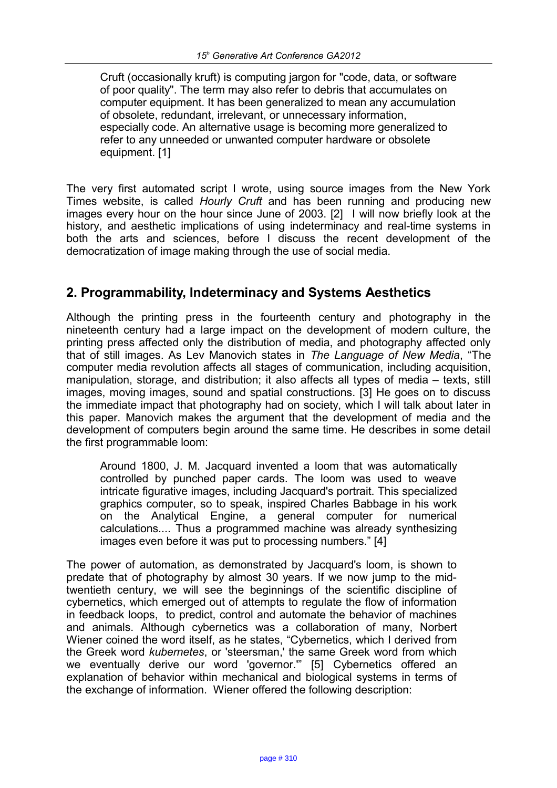Cruft (occasionally kruft) is computing jargon for "code, data, or software of poor quality". The term may also refer to debris that accumulates on computer equipment. It has been generalized to mean any accumulation of obsolete, redundant, irrelevant, or unnecessary information, especially code. An alternative usage is becoming more generalized to refer to any unneeded or unwanted computer hardware or obsolete equipment. [1]

The very first automated script I wrote, using source images from the New York Times website, is called *Hourly Cruft* and has been running and producing new images every hour on the hour since June of 2003. [2] I will now briefly look at the history, and aesthetic implications of using indeterminacy and real-time systems in both the arts and sciences, before I discuss the recent development of the democratization of image making through the use of social media.

## **2. Programmability, Indeterminacy and Systems Aesthetics**

Although the printing press in the fourteenth century and photography in the nineteenth century had a large impact on the development of modern culture, the printing press affected only the distribution of media, and photography affected only that of still images. As Lev Manovich states in *The Language of New Media*, "The computer media revolution affects all stages of communication, including acquisition, manipulation, storage, and distribution; it also affects all types of media – texts, still images, moving images, sound and spatial constructions. [3] He goes on to discuss the immediate impact that photography had on society, which I will talk about later in this paper. Manovich makes the argument that the development of media and the development of computers begin around the same time. He describes in some detail the first programmable loom:

Around 1800, J. M. Jacquard invented a loom that was automatically controlled by punched paper cards. The loom was used to weave intricate figurative images, including Jacquard's portrait. This specialized graphics computer, so to speak, inspired Charles Babbage in his work on the Analytical Engine, a general computer for numerical calculations.... Thus a programmed machine was already synthesizing images even before it was put to processing numbers." [4]

The power of automation, as demonstrated by Jacquard's loom, is shown to predate that of photography by almost 30 years. If we now jump to the midtwentieth century, we will see the beginnings of the scientific discipline of cybernetics, which emerged out of attempts to regulate the flow of information in feedback loops, to predict, control and automate the behavior of machines and animals. Although cybernetics was a collaboration of many, Norbert Wiener coined the word itself, as he states, "Cybernetics, which I derived from the Greek word *kubernetes*, or 'steersman,' the same Greek word from which we eventually derive our word 'governor.'" [5] Cybernetics offered an explanation of behavior within mechanical and biological systems in terms of the exchange of information. Wiener offered the following description: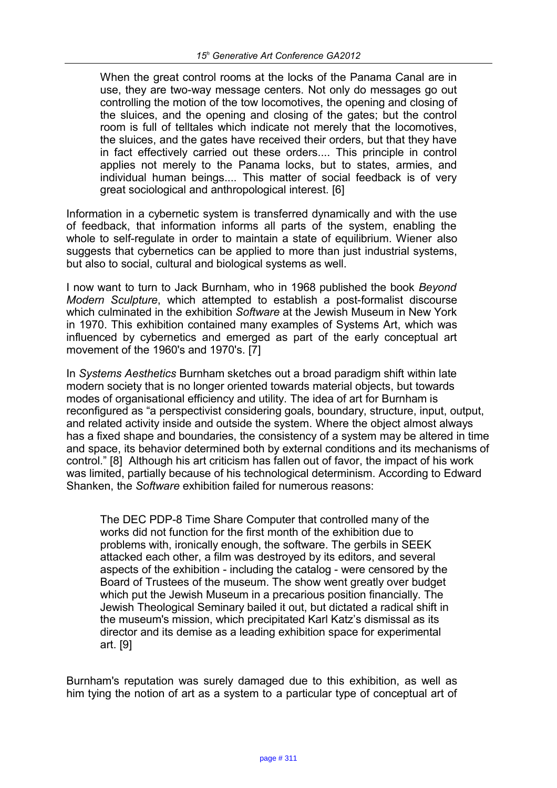When the great control rooms at the locks of the Panama Canal are in use, they are two-way message centers. Not only do messages go out controlling the motion of the tow locomotives, the opening and closing of the sluices, and the opening and closing of the gates; but the control room is full of telltales which indicate not merely that the locomotives, the sluices, and the gates have received their orders, but that they have in fact effectively carried out these orders.... This principle in control applies not merely to the Panama locks, but to states, armies, and individual human beings.... This matter of social feedback is of very great sociological and anthropological interest. [6]

Information in a cybernetic system is transferred dynamically and with the use of feedback, that information informs all parts of the system, enabling the whole to self-regulate in order to maintain a state of equilibrium. Wiener also suggests that cybernetics can be applied to more than just industrial systems. but also to social, cultural and biological systems as well.

I now want to turn to Jack Burnham, who in 1968 published the book *Beyond Modern Sculpture*, which attempted to establish a post-formalist discourse which culminated in the exhibition *Software* at the Jewish Museum in New York in 1970. This exhibition contained many examples of Systems Art, which was influenced by cybernetics and emerged as part of the early conceptual art movement of the 1960's and 1970's. [7]

In *Systems Aesthetics* Burnham sketches out a broad paradigm shift within late modern society that is no longer oriented towards material objects, but towards modes of organisational efficiency and utility. The idea of art for Burnham is reconfigured as "a perspectivist considering goals, boundary, structure, input, output, and related activity inside and outside the system. Where the object almost always has a fixed shape and boundaries, the consistency of a system may be altered in time and space, its behavior determined both by external conditions and its mechanisms of control." [8] Although his art criticism has fallen out of favor, the impact of his work was limited, partially because of his technological determinism. According to Edward Shanken, the *Software* exhibition failed for numerous reasons:

The DEC PDP-8 Time Share Computer that controlled many of the works did not function for the first month of the exhibition due to problems with, ironically enough, the software. The gerbils in SEEK attacked each other, a film was destroyed by its editors, and several aspects of the exhibition - including the catalog - were censored by the Board of Trustees of the museum. The show went greatly over budget which put the Jewish Museum in a precarious position financially. The Jewish Theological Seminary bailed it out, but dictated a radical shift in the museum's mission, which precipitated Karl Katz's dismissal as its director and its demise as a leading exhibition space for experimental art. [9]

Burnham's reputation was surely damaged due to this exhibition, as well as him tying the notion of art as a system to a particular type of conceptual art of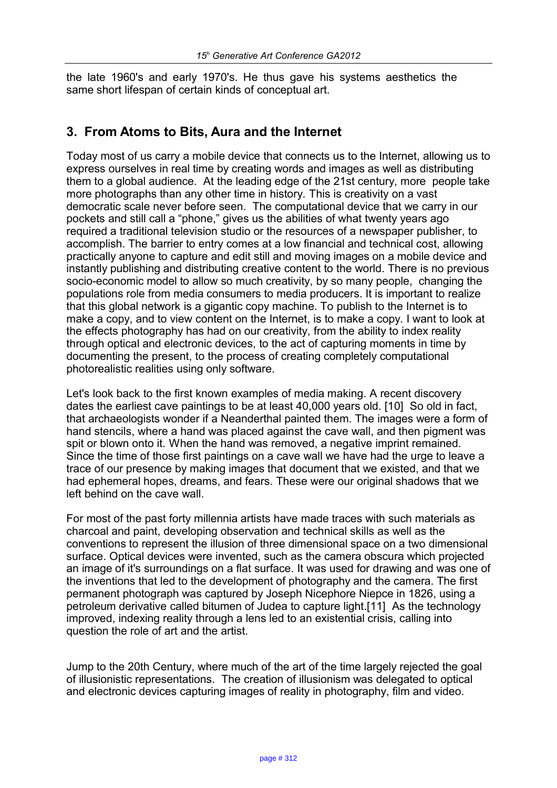the late 1960's and early 1970's. He thus gave his systems aesthetics the same short lifespan of certain kinds of conceptual art.

# **3. From Atoms to Bits, Aura and the Internet**

Today most of us carry a mobile device that connects us to the Internet, allowing us to express ourselves in real time by creating words and images as well as distributing them to a global audience. At the leading edge of the 21st century, more people take more photographs than any other time in history. This is creativity on a vast democratic scale never before seen. The computational device that we carry in our pockets and still call a "phone," gives us the abilities of what twenty years ago required a traditional television studio or the resources of a newspaper publisher, to accomplish. The barrier to entry comes at a low financial and technical cost, allowing practically anyone to capture and edit still and moving images on a mobile device and instantly publishing and distributing creative content to the world. There is no previous socio-economic model to allow so much creativity, by so many people, changing the populations role from media consumers to media producers. It is important to realize that this global network is a gigantic copy machine. To publish to the Internet is to make a copy, and to view content on the Internet, is to make a copy. I want to look at the effects photography has had on our creativity, from the ability to index reality through optical and electronic devices, to the act of capturing moments in time by documenting the present, to the process of creating completely computational photorealistic realities using only software.

Let's look back to the first known examples of media making. A recent discovery dates the earliest cave paintings to be at least 40,000 years old. [10] So old in fact, that archaeologists wonder if a Neanderthal painted them. The images were a form of hand stencils, where a hand was placed against the cave wall, and then pigment was spit or blown onto it. When the hand was removed, a negative imprint remained. Since the time of those first paintings on a cave wall we have had the urge to leave a trace of our presence by making images that document that we existed, and that we had ephemeral hopes, dreams, and fears. These were our original shadows that we left behind on the cave wall.

For most of the past forty millennia artists have made traces with such materials as charcoal and paint, developing observation and technical skills as well as the conventions to represent the illusion of three dimensional space on a two dimensional surface. Optical devices were invented, such as the camera obscura which projected an image of it's surroundings on a flat surface. It was used for drawing and was one of the inventions that led to the development of photography and the camera. The first permanent photograph was captured by Joseph Nicephore Niepce in 1826, using a petroleum derivative called bitumen of Judea to capture light.[11] As the technology improved, indexing reality through a lens led to an existential crisis, calling into question the role of art and the artist.

Jump to the 20th Century, where much of the art of the time largely rejected the goal of illusionistic representations. The creation of illusionism was delegated to optical and electronic devices capturing images of reality in photography, film and video.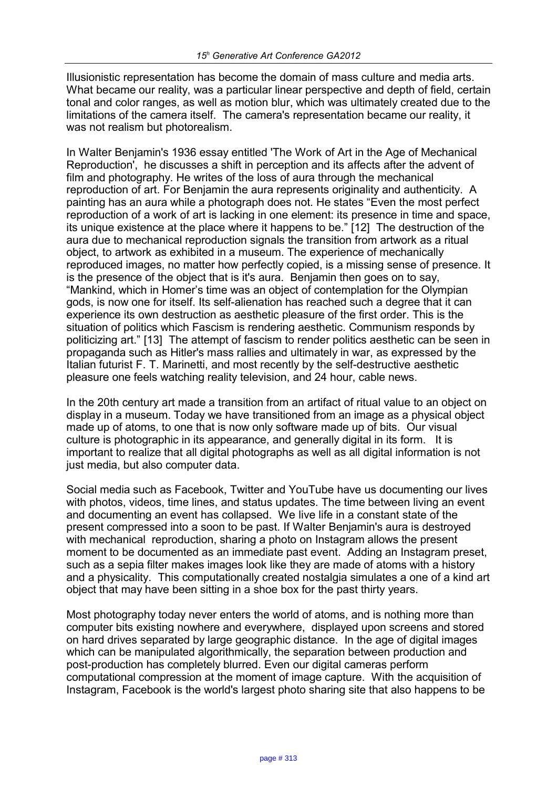Illusionistic representation has become the domain of mass culture and media arts. What became our reality, was a particular linear perspective and depth of field, certain tonal and color ranges, as well as motion blur, which was ultimately created due to the limitations of the camera itself. The camera's representation became our reality, it was not realism but photorealism.

In Walter Benjamin's 1936 essay entitled 'The Work of Art in the Age of Mechanical Reproduction', he discusses a shift in perception and its affects after the advent of film and photography. He writes of the loss of aura through the mechanical reproduction of art. For Benjamin the aura represents originality and authenticity. A painting has an aura while a photograph does not. He states "Even the most perfect reproduction of a work of art is lacking in one element: its presence in time and space, its unique existence at the place where it happens to be." [12] The destruction of the aura due to mechanical reproduction signals the transition from artwork as a ritual object, to artwork as exhibited in a museum. The experience of mechanically reproduced images, no matter how perfectly copied, is a missing sense of presence. It is the presence of the object that is it's aura. Benjamin then goes on to say, "Mankind, which in Homer's time was an object of contemplation for the Olympian gods, is now one for itself. Its self-alienation has reached such a degree that it can experience its own destruction as aesthetic pleasure of the first order. This is the situation of politics which Fascism is rendering aesthetic. Communism responds by politicizing art." [13] The attempt of fascism to render politics aesthetic can be seen in propaganda such as Hitler's mass rallies and ultimately in war, as expressed by the Italian futurist F. T. Marinetti, and most recently by the self-destructive aesthetic pleasure one feels watching reality television, and 24 hour, cable news.

In the 20th century art made a transition from an artifact of ritual value to an object on display in a museum. Today we have transitioned from an image as a physical object made up of atoms, to one that is now only software made up of bits. Our visual culture is photographic in its appearance, and generally digital in its form. It is important to realize that all digital photographs as well as all digital information is not just media, but also computer data.

Social media such as Facebook, Twitter and YouTube have us documenting our lives with photos, videos, time lines, and status updates. The time between living an event and documenting an event has collapsed. We live life in a constant state of the present compressed into a soon to be past. If Walter Benjamin's aura is destroyed with mechanical reproduction, sharing a photo on Instagram allows the present moment to be documented as an immediate past event. Adding an Instagram preset, such as a sepia filter makes images look like they are made of atoms with a history and a physicality. This computationally created nostalgia simulates a one of a kind art object that may have been sitting in a shoe box for the past thirty years.

Most photography today never enters the world of atoms, and is nothing more than computer bits existing nowhere and everywhere, displayed upon screens and stored on hard drives separated by large geographic distance. In the age of digital images which can be manipulated algorithmically, the separation between production and post-production has completely blurred. Even our digital cameras perform computational compression at the moment of image capture. With the acquisition of Instagram, Facebook is the world's largest photo sharing site that also happens to be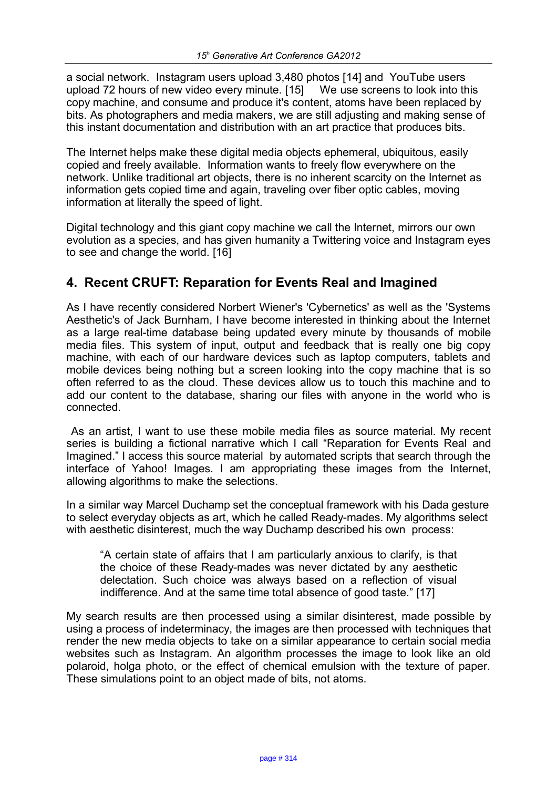a social network. Instagram users upload 3,480 photos [14] and YouTube users upload 72 hours of new video every minute. [15] We use screens to look into this copy machine, and consume and produce it's content, atoms have been replaced by bits. As photographers and media makers, we are still adjusting and making sense of this instant documentation and distribution with an art practice that produces bits.

The Internet helps make these digital media objects ephemeral, ubiquitous, easily copied and freely available. Information wants to freely flow everywhere on the network. Unlike traditional art objects, there is no inherent scarcity on the Internet as information gets copied time and again, traveling over fiber optic cables, moving information at literally the speed of light.

Digital technology and this giant copy machine we call the Internet, mirrors our own evolution as a species, and has given humanity a Twittering voice and Instagram eyes to see and change the world. [16]

# **4. Recent CRUFT: Reparation for Events Real and Imagined**

As I have recently considered Norbert Wiener's 'Cybernetics' as well as the 'Systems Aesthetic's of Jack Burnham, I have become interested in thinking about the Internet as a large real-time database being updated every minute by thousands of mobile media files. This system of input, output and feedback that is really one big copy machine, with each of our hardware devices such as laptop computers, tablets and mobile devices being nothing but a screen looking into the copy machine that is so often referred to as the cloud. These devices allow us to touch this machine and to add our content to the database, sharing our files with anyone in the world who is connected.

 As an artist, I want to use these mobile media files as source material. My recent series is building a fictional narrative which I call "Reparation for Events Real and Imagined." I access this source material by automated scripts that search through the interface of Yahoo! Images. I am appropriating these images from the Internet, allowing algorithms to make the selections.

In a similar way Marcel Duchamp set the conceptual framework with his Dada gesture to select everyday objects as art, which he called Ready-mades. My algorithms select with aesthetic disinterest, much the way Duchamp described his own process:

"A certain state of affairs that I am particularly anxious to clarify, is that the choice of these Ready-mades was never dictated by any aesthetic delectation. Such choice was always based on a reflection of visual indifference. And at the same time total absence of good taste." [17]

My search results are then processed using a similar disinterest, made possible by using a process of indeterminacy, the images are then processed with techniques that render the new media objects to take on a similar appearance to certain social media websites such as Instagram. An algorithm processes the image to look like an old polaroid, holga photo, or the effect of chemical emulsion with the texture of paper. These simulations point to an object made of bits, not atoms.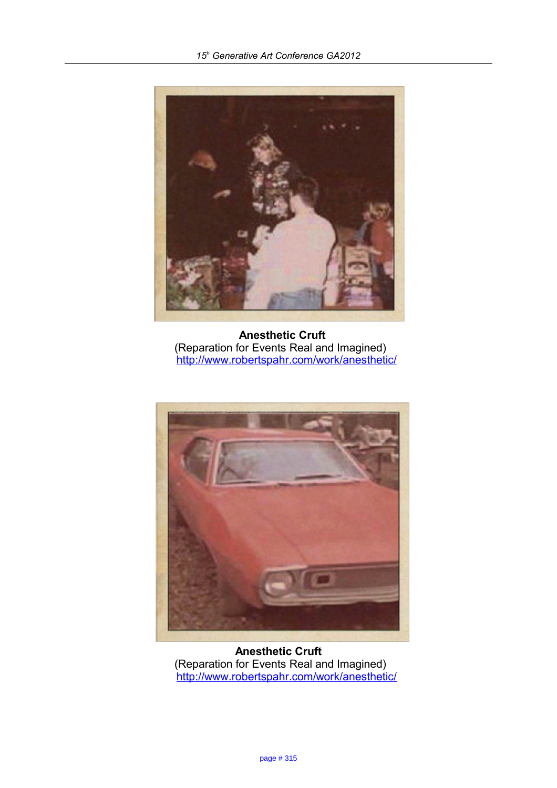

 **Anesthetic Cruft**  (Reparation for Events Real and Imagined) <http://www.robertspahr.com/work/anesthetic/>



**Anesthetic Cruft**  (Reparation for Events Real and Imagined) <http://www.robertspahr.com/work/anesthetic/>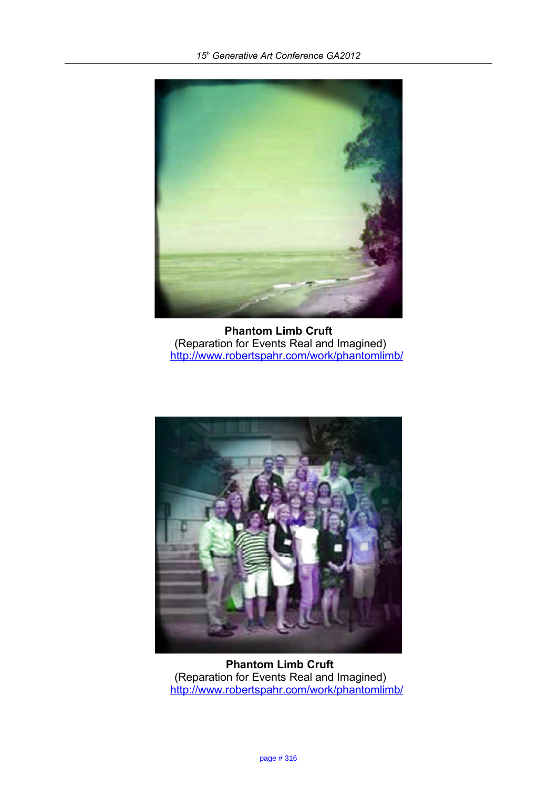

**Phantom Limb Cruft**  (Reparation for Events Real and Imagined) <http://www.robertspahr.com/work/phantomlimb/>



 **Phantom Limb Cruft**  (Reparation for Events Real and Imagined) <http://www.robertspahr.com/work/phantomlimb/>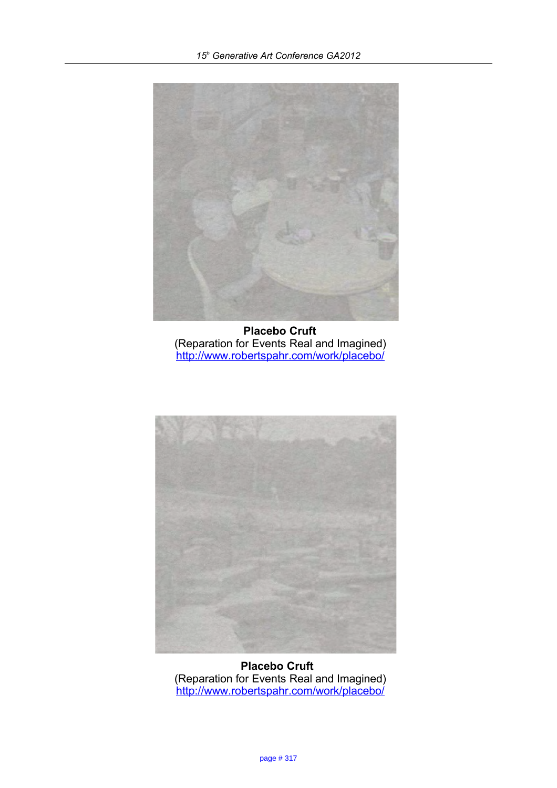

 **Placebo Cruft**  (Reparation for Events Real and Imagined) <http://www.robertspahr.com/work/placebo/>



**Placebo Cruft**  (Reparation for Events Real and Imagined) <http://www.robertspahr.com/work/placebo/>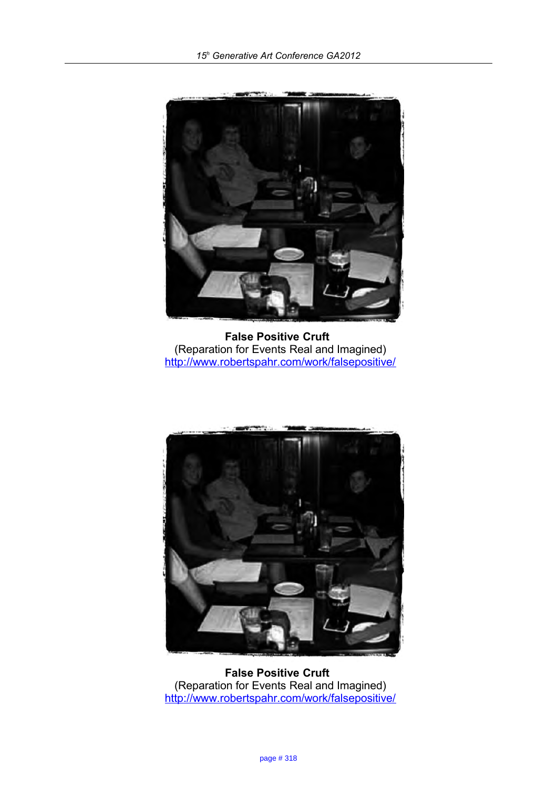

**False Positive Cruft**  (Reparation for Events Real and Imagined) <http://www.robertspahr.com/work/falsepositive/>



**False Positive Cruft**  (Reparation for Events Real and Imagined) <http://www.robertspahr.com/work/falsepositive/>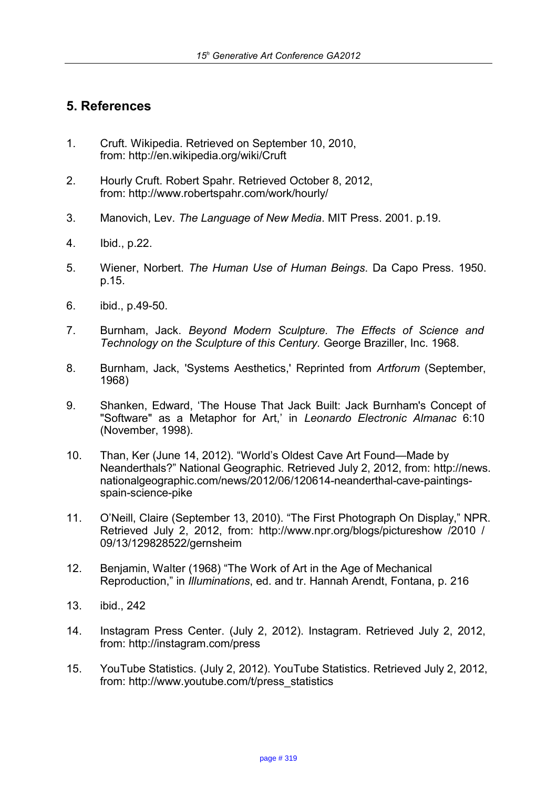# **5. References**

- 1. Cruft. Wikipedia. Retrieved on September 10, 2010, from: http://en.wikipedia.org/wiki/Cruft
- 2. Hourly Cruft. Robert Spahr. Retrieved October 8, 2012, from: http://www.robertspahr.com/work/hourly/
- 3. Manovich, Lev. *The Language of New Media*. MIT Press. 2001. p.19.
- 4. Ibid., p.22.
- 5. Wiener, Norbert. *The Human Use of Human Beings*. Da Capo Press. 1950. p.15.
- 6. ibid., p.49-50.
- 7. Burnham, Jack. *Beyond Modern Sculpture. The Effects of Science and Technology on the Sculpture of this Century.* George Braziller, Inc. 1968.
- 8. Burnham, Jack, 'Systems Aesthetics,' Reprinted from *Artforum* (September, 1968)
- 9. Shanken, Edward, 'The House That Jack Built: Jack Burnham's Concept of "Software" as a Metaphor for Art,' in *Leonardo Electronic Almanac* 6:10 (November, 1998).
- 10. Than, Ker (June 14, 2012). "World's Oldest Cave Art Found—Made by Neanderthals?" National Geographic. Retrieved July 2, 2012, from: http://news. nationalgeographic.com/news/2012/06/120614-neanderthal-cave-paintingsspain-science-pike
- 11. O'Neill, Claire (September 13, 2010). "The First Photograph On Display," NPR. Retrieved July 2, 2012, from: http://www.npr.org/blogs/pictureshow /2010 / 09/13/129828522/gernsheim
- 12. Benjamin, Walter (1968) "The Work of Art in the Age of Mechanical Reproduction," in *Illuminations*, ed. and tr. Hannah Arendt, Fontana, p. 216
- 13. ibid., 242
- 14. Instagram Press Center. (July 2, 2012). Instagram. Retrieved July 2, 2012, from: http://instagram.com/press
- 15. YouTube Statistics. (July 2, 2012). YouTube Statistics. Retrieved July 2, 2012, from: http://www.youtube.com/t/press\_statistics